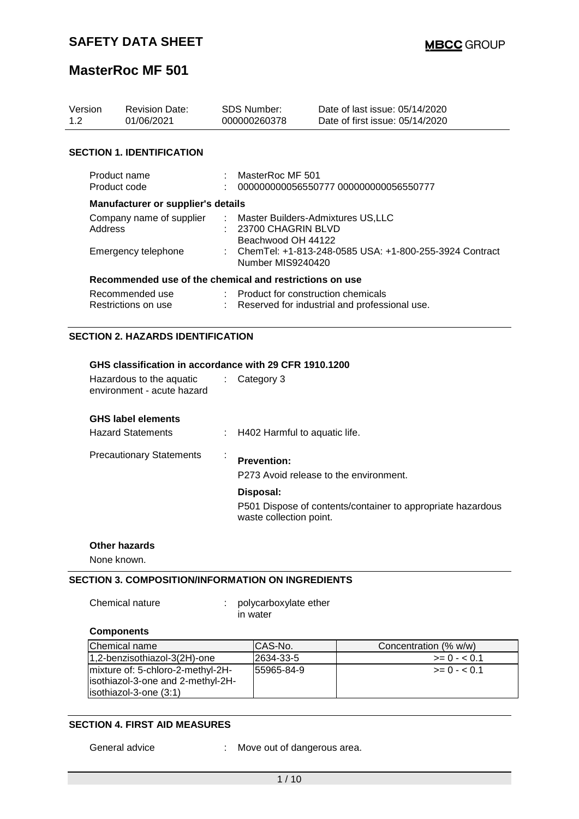| Version<br>1.2                                          | <b>Revision Date:</b><br>01/06/2021    | <b>SDS Number:</b><br>000000260378 |                                                                                     | Date of last issue: 05/14/2020<br>Date of first issue: 05/14/2020 |  |
|---------------------------------------------------------|----------------------------------------|------------------------------------|-------------------------------------------------------------------------------------|-------------------------------------------------------------------|--|
|                                                         | <b>SECTION 1. IDENTIFICATION</b>       |                                    |                                                                                     |                                                                   |  |
| Product name<br>Product code                            |                                        |                                    | MasterRoc MF 501<br>0000000000056550777 000000000056550777                          |                                                                   |  |
| Manufacturer or supplier's details                      |                                        |                                    |                                                                                     |                                                                   |  |
| Company name of supplier<br>Address                     |                                        |                                    | : Master Builders-Admixtures US,LLC<br>$: 23700$ CHAGRIN BLVD<br>Beachwood OH 44122 |                                                                   |  |
|                                                         | Emergency telephone                    |                                    | : ChemTel: +1-813-248-0585 USA: +1-800-255-3924 Contract<br>Number MIS9240420       |                                                                   |  |
| Recommended use of the chemical and restrictions on use |                                        |                                    |                                                                                     |                                                                   |  |
|                                                         | Recommended use<br>Restrictions on use |                                    | $\therefore$ Product for construction chemicals                                     | Reserved for industrial and professional use.                     |  |

## **SECTION 2. HAZARDS IDENTIFICATION**

| GHS classification in accordance with 29 CFR 1910.1200 |
|--------------------------------------------------------|
|--------------------------------------------------------|

| Hazardous to the aquatic<br>environment - acute hazard | Category 3                                                                                          |
|--------------------------------------------------------|-----------------------------------------------------------------------------------------------------|
| <b>GHS label elements</b><br><b>Hazard Statements</b>  | : H402 Harmful to aquatic life.                                                                     |
| <b>Precautionary Statements</b>                        | <b>Prevention:</b><br>P273 Avoid release to the environment.                                        |
|                                                        | Disposal:<br>P501 Dispose of contents/container to appropriate hazardous<br>waste collection point. |

#### **Other hazards**

None known.

## **SECTION 3. COMPOSITION/INFORMATION ON INGREDIENTS**

Chemical nature : polycarboxylate ether in water

## **Components**

| Chemical name                      | ICAS-No.    | Concentration (% w/w) |
|------------------------------------|-------------|-----------------------|
| 1,2-benzisothiazol-3(2H)-one       | 2634-33-5   | $>= 0 - 0.1$          |
| mixture of: 5-chloro-2-methyl-2H-  | 155965-84-9 | $>= 0 - 5.01$         |
| lisothiazol-3-one and 2-methyl-2H- |             |                       |
| $listothiazol-3-one(3:1)$          |             |                       |

#### **SECTION 4. FIRST AID MEASURES**

General advice : Move out of dangerous area.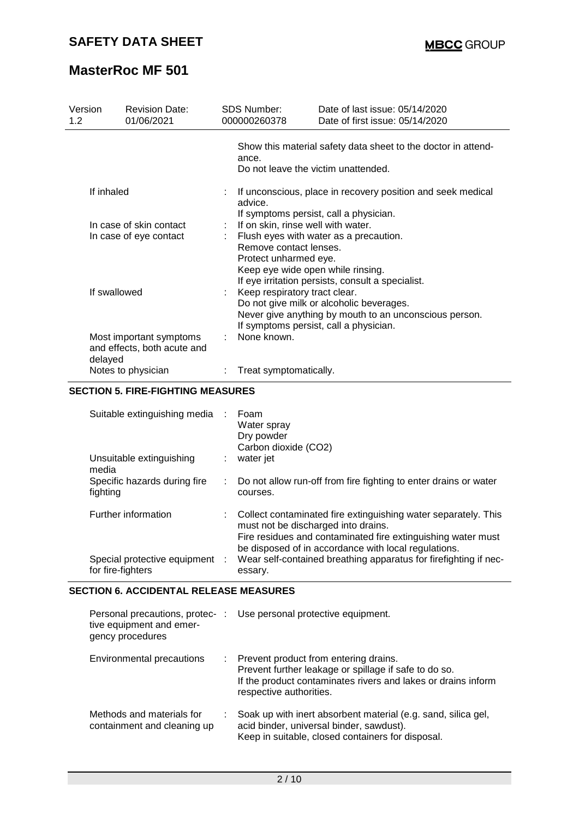| Version<br>1.2          | <b>Revision Date:</b><br>01/06/2021                    | SDS Number:<br>000000260378                                                                                      | Date of last issue: 05/14/2020<br>Date of first issue: 05/14/2020                                                                            |  |  |  |
|-------------------------|--------------------------------------------------------|------------------------------------------------------------------------------------------------------------------|----------------------------------------------------------------------------------------------------------------------------------------------|--|--|--|
|                         |                                                        | ance.<br>Do not leave the victim unattended.                                                                     | Show this material safety data sheet to the doctor in attend-                                                                                |  |  |  |
| If inhaled              |                                                        | If unconscious, place in recovery position and seek medical<br>advice.<br>If symptoms persist, call a physician. |                                                                                                                                              |  |  |  |
| In case of skin contact |                                                        | If on skin, rinse well with water.                                                                               |                                                                                                                                              |  |  |  |
| In case of eye contact  |                                                        | Remove contact lenses.<br>Protect unharmed eye.<br>Keep eye wide open while rinsing.                             | Flush eyes with water as a precaution.<br>If eye irritation persists, consult a specialist.                                                  |  |  |  |
| If swallowed            |                                                        | Keep respiratory tract clear.                                                                                    | Do not give milk or alcoholic beverages.<br>Never give anything by mouth to an unconscious person.<br>If symptoms persist, call a physician. |  |  |  |
| delayed                 | Most important symptoms<br>and effects, both acute and | None known.                                                                                                      |                                                                                                                                              |  |  |  |
| Notes to physician      |                                                        | Treat symptomatically.                                                                                           |                                                                                                                                              |  |  |  |

## **SECTION 5. FIRE-FIGHTING MEASURES**

| Suitable extinguishing media<br>Unsuitable extinguishing<br>media |    | Foam<br>Water spray<br>Dry powder<br>Carbon dioxide (CO2)<br>water jet                                                                                                                                                        |
|-------------------------------------------------------------------|----|-------------------------------------------------------------------------------------------------------------------------------------------------------------------------------------------------------------------------------|
| Specific hazards during fire<br>fighting                          | ÷. | Do not allow run-off from fire fighting to enter drains or water<br>courses.                                                                                                                                                  |
| Further information                                               |    | Collect contaminated fire extinguishing water separately. This<br>must not be discharged into drains.<br>Fire residues and contaminated fire extinguishing water must<br>be disposed of in accordance with local regulations. |
| Special protective equipment :<br>for fire-fighters               |    | Wear self-contained breathing apparatus for firefighting if nec-<br>essary.                                                                                                                                                   |

#### **SECTION 6. ACCIDENTAL RELEASE MEASURES**

| tive equipment and emer-<br>gency procedures             |    | Personal precautions, protec- : Use personal protective equipment.                                                                                                                         |
|----------------------------------------------------------|----|--------------------------------------------------------------------------------------------------------------------------------------------------------------------------------------------|
| Environmental precautions                                | ÷. | Prevent product from entering drains.<br>Prevent further leakage or spillage if safe to do so.<br>If the product contaminates rivers and lakes or drains inform<br>respective authorities. |
| Methods and materials for<br>containment and cleaning up |    | Soak up with inert absorbent material (e.g. sand, silica gel,<br>acid binder, universal binder, sawdust).<br>Keep in suitable, closed containers for disposal.                             |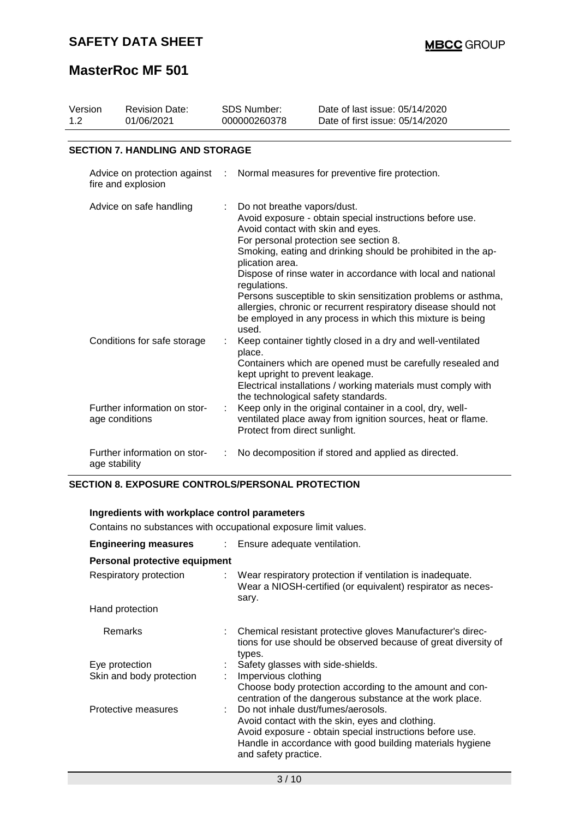| Version<br>1.2 | <b>Revision Date:</b><br>01/06/2021                | <b>SDS Number:</b><br>000000260378 |                                                                                                              | Date of last issue: 05/14/2020<br>Date of first issue: 05/14/2020                                                                                                                                                                                                                                                                                                                                                                  |  |
|----------------|----------------------------------------------------|------------------------------------|--------------------------------------------------------------------------------------------------------------|------------------------------------------------------------------------------------------------------------------------------------------------------------------------------------------------------------------------------------------------------------------------------------------------------------------------------------------------------------------------------------------------------------------------------------|--|
|                | <b>SECTION 7. HANDLING AND STORAGE</b>             |                                    |                                                                                                              |                                                                                                                                                                                                                                                                                                                                                                                                                                    |  |
|                | Advice on protection against<br>fire and explosion |                                    | Normal measures for preventive fire protection.<br>÷                                                         |                                                                                                                                                                                                                                                                                                                                                                                                                                    |  |
|                | Advice on safe handling                            |                                    | Do not breathe vapors/dust.<br>Avoid contact with skin and eyes.<br>plication area.<br>regulations.<br>used. | Avoid exposure - obtain special instructions before use.<br>For personal protection see section 8.<br>Smoking, eating and drinking should be prohibited in the ap-<br>Dispose of rinse water in accordance with local and national<br>Persons susceptible to skin sensitization problems or asthma,<br>allergies, chronic or recurrent respiratory disease should not<br>be employed in any process in which this mixture is being |  |
|                | Conditions for safe storage                        |                                    | place.<br>kept upright to prevent leakage.<br>the technological safety standards.                            | Keep container tightly closed in a dry and well-ventilated<br>Containers which are opened must be carefully resealed and<br>Electrical installations / working materials must comply with                                                                                                                                                                                                                                          |  |
|                | Further information on stor-<br>age conditions     |                                    | Protect from direct sunlight.                                                                                | Keep only in the original container in a cool, dry, well-<br>ventilated place away from ignition sources, heat or flame.                                                                                                                                                                                                                                                                                                           |  |
|                | Further information on stor-<br>age stability      |                                    |                                                                                                              | No decomposition if stored and applied as directed.                                                                                                                                                                                                                                                                                                                                                                                |  |

## **SECTION 8. EXPOSURE CONTROLS/PERSONAL PROTECTION**

| Ingredients with workplace control parameters                   |                                                                                                                                                                                                                                                                                                      |  |  |  |  |
|-----------------------------------------------------------------|------------------------------------------------------------------------------------------------------------------------------------------------------------------------------------------------------------------------------------------------------------------------------------------------------|--|--|--|--|
| Contains no substances with occupational exposure limit values. |                                                                                                                                                                                                                                                                                                      |  |  |  |  |
| <b>Engineering measures</b>                                     | : Ensure adequate ventilation.                                                                                                                                                                                                                                                                       |  |  |  |  |
| Personal protective equipment                                   |                                                                                                                                                                                                                                                                                                      |  |  |  |  |
| Respiratory protection                                          | Wear respiratory protection if ventilation is inadequate.<br>Wear a NIOSH-certified (or equivalent) respirator as neces-<br>sary.                                                                                                                                                                    |  |  |  |  |
| Hand protection                                                 |                                                                                                                                                                                                                                                                                                      |  |  |  |  |
| Remarks                                                         | : Chemical resistant protective gloves Manufacturer's direc-<br>tions for use should be observed because of great diversity of<br>types.                                                                                                                                                             |  |  |  |  |
| Eye protection<br>Skin and body protection                      | : Safety glasses with side-shields.<br>Impervious clothing<br>Choose body protection according to the amount and con-                                                                                                                                                                                |  |  |  |  |
| Protective measures                                             | centration of the dangerous substance at the work place.<br>: Do not inhale dust/fumes/aerosols.<br>Avoid contact with the skin, eyes and clothing.<br>Avoid exposure - obtain special instructions before use.<br>Handle in accordance with good building materials hygiene<br>and safety practice. |  |  |  |  |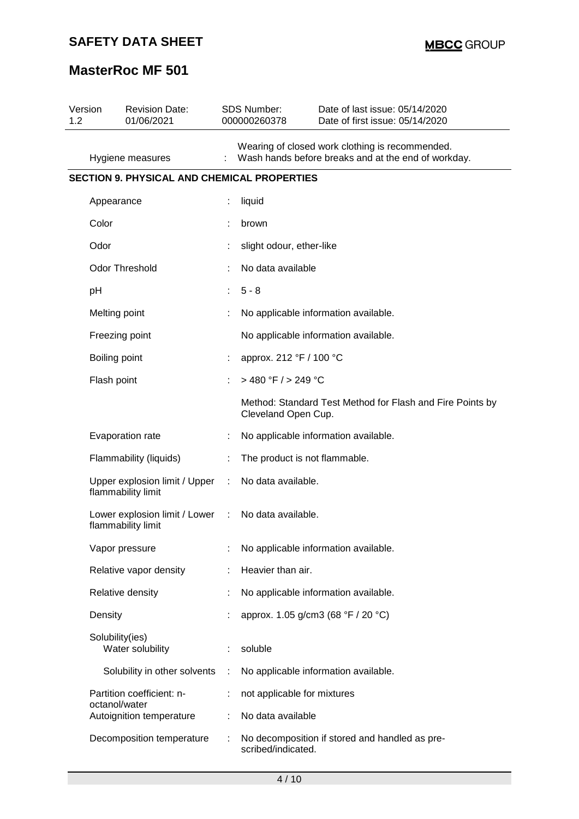# **SAFETY DATA SHEET**

# **MasterRoc MF 501**

| Version<br>1.2 | <b>Revision Date:</b><br>01/06/2021                 |               | SDS Number:<br>000000260378   | Date of last issue: 05/14/2020<br>Date of first issue: 05/14/2020                                      |
|----------------|-----------------------------------------------------|---------------|-------------------------------|--------------------------------------------------------------------------------------------------------|
|                | Hygiene measures                                    |               |                               | Wearing of closed work clothing is recommended.<br>Wash hands before breaks and at the end of workday. |
|                | <b>SECTION 9. PHYSICAL AND CHEMICAL PROPERTIES</b>  |               |                               |                                                                                                        |
|                | Appearance                                          |               | liquid                        |                                                                                                        |
|                | Color                                               |               | brown                         |                                                                                                        |
|                | Odor                                                |               | slight odour, ether-like      |                                                                                                        |
|                | Odor Threshold                                      |               | No data available             |                                                                                                        |
|                | pH                                                  |               | $5 - 8$                       |                                                                                                        |
|                | Melting point                                       |               |                               | No applicable information available.                                                                   |
|                | Freezing point                                      |               |                               | No applicable information available.                                                                   |
|                | Boiling point                                       |               | approx. 212 °F / 100 °C       |                                                                                                        |
|                | Flash point                                         | ÷             | $>$ 480 °F / $>$ 249 °C       |                                                                                                        |
|                |                                                     |               | Cleveland Open Cup.           | Method: Standard Test Method for Flash and Fire Points by                                              |
|                | Evaporation rate                                    |               |                               | No applicable information available.                                                                   |
|                | Flammability (liquids)                              | t             | The product is not flammable. |                                                                                                        |
|                | Upper explosion limit / Upper<br>flammability limit | ÷             | No data available.            |                                                                                                        |
|                | Lower explosion limit / Lower<br>flammability limit | $\mathcal{L}$ | No data available.            |                                                                                                        |
|                | Vapor pressure                                      |               |                               | No applicable information available.                                                                   |
|                | Relative vapor density                              |               | Heavier than air.             |                                                                                                        |
|                | Relative density                                    |               |                               | No applicable information available.                                                                   |
|                | Density                                             |               |                               | approx. 1.05 g/cm3 (68 °F / 20 °C)                                                                     |
|                | Solubility(ies)<br>Water solubility                 | ÷             | soluble                       |                                                                                                        |
|                | Solubility in other solvents                        | ÷             |                               | No applicable information available.                                                                   |
|                | Partition coefficient: n-<br>octanol/water          | İ.            | not applicable for mixtures   |                                                                                                        |
|                | Autoignition temperature                            | ÷             | No data available             |                                                                                                        |
|                | Decomposition temperature                           | ÷             | scribed/indicated.            | No decomposition if stored and handled as pre-                                                         |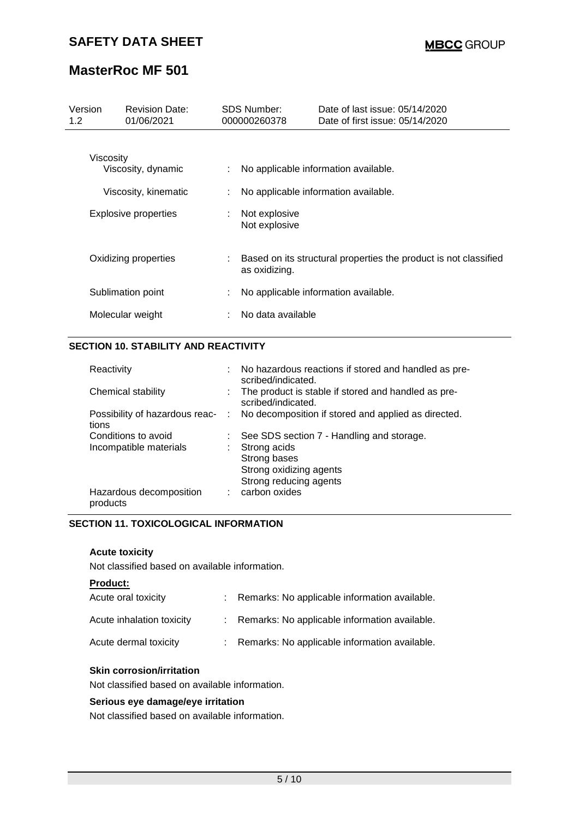| Version<br>1.2                                          | <b>Revision Date:</b><br>01/06/2021 | <b>SDS Number:</b><br>000000260378 |                                | Date of last issue: 05/14/2020<br>Date of first issue: 05/14/2020            |
|---------------------------------------------------------|-------------------------------------|------------------------------------|--------------------------------|------------------------------------------------------------------------------|
| Viscosity<br>Viscosity, dynamic<br>Viscosity, kinematic |                                     | ÷.                                 |                                | No applicable information available.<br>No applicable information available. |
|                                                         | <b>Explosive properties</b>         |                                    | Not explosive<br>Not explosive |                                                                              |
| Oxidizing properties                                    |                                     |                                    | as oxidizing.                  | Based on its structural properties the product is not classified             |
|                                                         | Sublimation point                   |                                    |                                | No applicable information available.                                         |
|                                                         | Molecular weight                    |                                    | No data available              |                                                                              |

# **SECTION 10. STABILITY AND REACTIVITY**

| : No hazardous reactions if stored and handled as pre-<br>scribed/indicated.         |
|--------------------------------------------------------------------------------------|
| : The product is stable if stored and handled as pre-<br>scribed/indicated.          |
| Possibility of hazardous reac- : No decomposition if stored and applied as directed. |
| See SDS section 7 - Handling and storage.                                            |
| Strong acids                                                                         |
| Strong bases                                                                         |
| Strong oxidizing agents                                                              |
| Strong reducing agents                                                               |
| : carbon oxides                                                                      |
|                                                                                      |

## **SECTION 11. TOXICOLOGICAL INFORMATION**

## **Acute toxicity**

Not classified based on available information.

| Acute oral toxicity       | : Remarks: No applicable information available. |
|---------------------------|-------------------------------------------------|
| Acute inhalation toxicity | : Remarks: No applicable information available. |
| Acute dermal toxicity     | : Remarks: No applicable information available. |

## **Skin corrosion/irritation**

Not classified based on available information.

#### **Serious eye damage/eye irritation**

Not classified based on available information.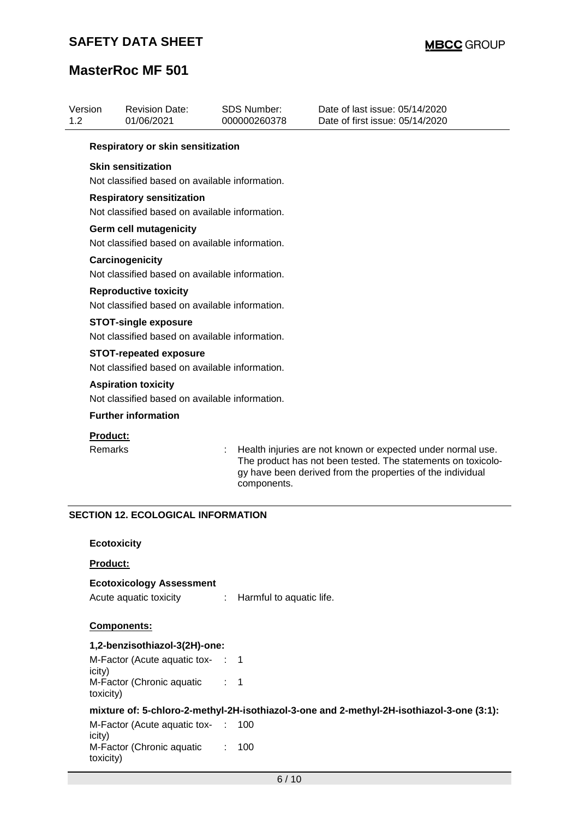| Respiratory or skin sensitization<br><b>Skin sensitization</b><br>Not classified based on available information.<br><b>Respiratory sensitization</b><br>Not classified based on available information.<br><b>Germ cell mutagenicity</b><br>Not classified based on available information.<br>Carcinogenicity<br>Not classified based on available information.<br><b>Reproductive toxicity</b><br>Not classified based on available information.<br><b>STOT-single exposure</b><br>Not classified based on available information.<br><b>STOT-repeated exposure</b><br>Not classified based on available information.<br><b>Aspiration toxicity</b><br>Not classified based on available information.<br><b>Further information</b><br>Product:<br>Remarks<br>Health injuries are not known or expected under normal use.<br>The product has not been tested. The statements on toxicolo-<br>gy have been derived from the properties of the individual<br>components.<br><b>SECTION 12. ECOLOGICAL INFORMATION</b><br><b>Ecotoxicity</b><br>Product:<br><b>Ecotoxicology Assessment</b><br>Acute aquatic toxicity<br>Harmful to aquatic life.<br>÷<br><b>Components:</b><br>1,2-benzisothiazol-3(2H)-one:<br>M-Factor (Acute aquatic tox- : 1<br>icity)<br>M-Factor (Chronic aquatic<br>$\therefore$ 1<br>toxicity)<br>mixture of: 5-chloro-2-methyl-2H-isothiazol-3-one and 2-methyl-2H-isothiazol-3-one (3:1):<br>M-Factor (Acute aquatic tox-<br>100<br>icity)<br>M-Factor (Chronic aquatic<br>100<br>toxicity)<br>$6/10$ | Version<br>1.2 | <b>Revision Date:</b><br>01/06/2021 | <b>SDS Number:</b><br>000000260378 | Date of last issue: 05/14/2020<br>Date of first issue: 05/14/2020 |
|------------------------------------------------------------------------------------------------------------------------------------------------------------------------------------------------------------------------------------------------------------------------------------------------------------------------------------------------------------------------------------------------------------------------------------------------------------------------------------------------------------------------------------------------------------------------------------------------------------------------------------------------------------------------------------------------------------------------------------------------------------------------------------------------------------------------------------------------------------------------------------------------------------------------------------------------------------------------------------------------------------------------------------------------------------------------------------------------------------------------------------------------------------------------------------------------------------------------------------------------------------------------------------------------------------------------------------------------------------------------------------------------------------------------------------------------------------------------------------------------------------------------------|----------------|-------------------------------------|------------------------------------|-------------------------------------------------------------------|
|                                                                                                                                                                                                                                                                                                                                                                                                                                                                                                                                                                                                                                                                                                                                                                                                                                                                                                                                                                                                                                                                                                                                                                                                                                                                                                                                                                                                                                                                                                                              |                |                                     |                                    |                                                                   |
|                                                                                                                                                                                                                                                                                                                                                                                                                                                                                                                                                                                                                                                                                                                                                                                                                                                                                                                                                                                                                                                                                                                                                                                                                                                                                                                                                                                                                                                                                                                              |                |                                     |                                    |                                                                   |
|                                                                                                                                                                                                                                                                                                                                                                                                                                                                                                                                                                                                                                                                                                                                                                                                                                                                                                                                                                                                                                                                                                                                                                                                                                                                                                                                                                                                                                                                                                                              |                |                                     |                                    |                                                                   |
|                                                                                                                                                                                                                                                                                                                                                                                                                                                                                                                                                                                                                                                                                                                                                                                                                                                                                                                                                                                                                                                                                                                                                                                                                                                                                                                                                                                                                                                                                                                              |                |                                     |                                    |                                                                   |
|                                                                                                                                                                                                                                                                                                                                                                                                                                                                                                                                                                                                                                                                                                                                                                                                                                                                                                                                                                                                                                                                                                                                                                                                                                                                                                                                                                                                                                                                                                                              |                |                                     |                                    |                                                                   |
|                                                                                                                                                                                                                                                                                                                                                                                                                                                                                                                                                                                                                                                                                                                                                                                                                                                                                                                                                                                                                                                                                                                                                                                                                                                                                                                                                                                                                                                                                                                              |                |                                     |                                    |                                                                   |
|                                                                                                                                                                                                                                                                                                                                                                                                                                                                                                                                                                                                                                                                                                                                                                                                                                                                                                                                                                                                                                                                                                                                                                                                                                                                                                                                                                                                                                                                                                                              |                |                                     |                                    |                                                                   |
|                                                                                                                                                                                                                                                                                                                                                                                                                                                                                                                                                                                                                                                                                                                                                                                                                                                                                                                                                                                                                                                                                                                                                                                                                                                                                                                                                                                                                                                                                                                              |                |                                     |                                    |                                                                   |
|                                                                                                                                                                                                                                                                                                                                                                                                                                                                                                                                                                                                                                                                                                                                                                                                                                                                                                                                                                                                                                                                                                                                                                                                                                                                                                                                                                                                                                                                                                                              |                |                                     |                                    |                                                                   |
|                                                                                                                                                                                                                                                                                                                                                                                                                                                                                                                                                                                                                                                                                                                                                                                                                                                                                                                                                                                                                                                                                                                                                                                                                                                                                                                                                                                                                                                                                                                              |                |                                     |                                    |                                                                   |
|                                                                                                                                                                                                                                                                                                                                                                                                                                                                                                                                                                                                                                                                                                                                                                                                                                                                                                                                                                                                                                                                                                                                                                                                                                                                                                                                                                                                                                                                                                                              |                |                                     |                                    |                                                                   |
|                                                                                                                                                                                                                                                                                                                                                                                                                                                                                                                                                                                                                                                                                                                                                                                                                                                                                                                                                                                                                                                                                                                                                                                                                                                                                                                                                                                                                                                                                                                              |                |                                     |                                    |                                                                   |
|                                                                                                                                                                                                                                                                                                                                                                                                                                                                                                                                                                                                                                                                                                                                                                                                                                                                                                                                                                                                                                                                                                                                                                                                                                                                                                                                                                                                                                                                                                                              |                |                                     |                                    |                                                                   |
|                                                                                                                                                                                                                                                                                                                                                                                                                                                                                                                                                                                                                                                                                                                                                                                                                                                                                                                                                                                                                                                                                                                                                                                                                                                                                                                                                                                                                                                                                                                              |                |                                     |                                    |                                                                   |
|                                                                                                                                                                                                                                                                                                                                                                                                                                                                                                                                                                                                                                                                                                                                                                                                                                                                                                                                                                                                                                                                                                                                                                                                                                                                                                                                                                                                                                                                                                                              |                |                                     |                                    |                                                                   |
|                                                                                                                                                                                                                                                                                                                                                                                                                                                                                                                                                                                                                                                                                                                                                                                                                                                                                                                                                                                                                                                                                                                                                                                                                                                                                                                                                                                                                                                                                                                              |                |                                     |                                    |                                                                   |
|                                                                                                                                                                                                                                                                                                                                                                                                                                                                                                                                                                                                                                                                                                                                                                                                                                                                                                                                                                                                                                                                                                                                                                                                                                                                                                                                                                                                                                                                                                                              |                |                                     |                                    |                                                                   |
|                                                                                                                                                                                                                                                                                                                                                                                                                                                                                                                                                                                                                                                                                                                                                                                                                                                                                                                                                                                                                                                                                                                                                                                                                                                                                                                                                                                                                                                                                                                              |                |                                     |                                    |                                                                   |
|                                                                                                                                                                                                                                                                                                                                                                                                                                                                                                                                                                                                                                                                                                                                                                                                                                                                                                                                                                                                                                                                                                                                                                                                                                                                                                                                                                                                                                                                                                                              |                |                                     |                                    |                                                                   |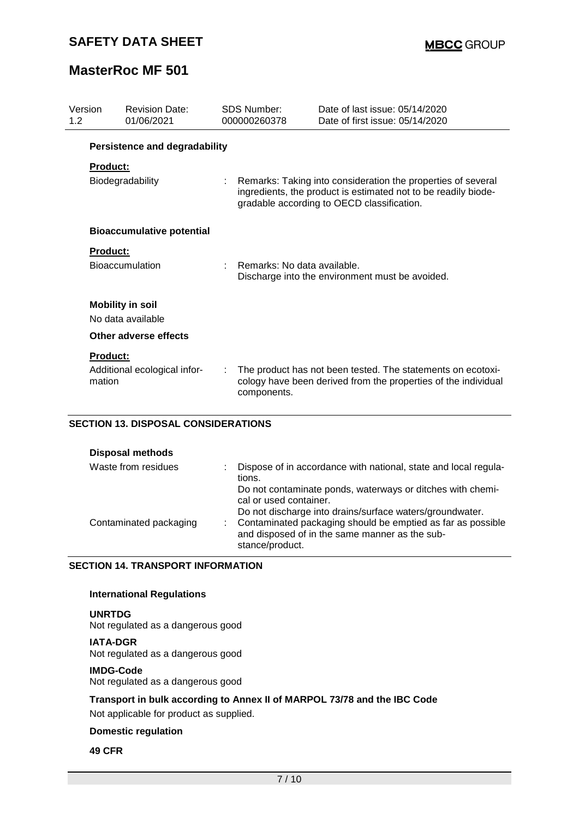| Version<br>1.2 |                 | <b>Revision Date:</b><br>01/06/2021  |    | SDS Number:<br>000000260378 | Date of last issue: 05/14/2020<br>Date of first issue: 05/14/2020                                                                                                            |
|----------------|-----------------|--------------------------------------|----|-----------------------------|------------------------------------------------------------------------------------------------------------------------------------------------------------------------------|
|                |                 | <b>Persistence and degradability</b> |    |                             |                                                                                                                                                                              |
|                | <b>Product:</b> |                                      |    |                             |                                                                                                                                                                              |
|                |                 | Biodegradability                     | t. |                             | Remarks: Taking into consideration the properties of several<br>ingredients, the product is estimated not to be readily biode-<br>gradable according to OECD classification. |
|                |                 | <b>Bioaccumulative potential</b>     |    |                             |                                                                                                                                                                              |
|                | Product:        |                                      |    |                             |                                                                                                                                                                              |
|                |                 | <b>Bioaccumulation</b>               |    | Remarks: No data available. | Discharge into the environment must be avoided.                                                                                                                              |
|                |                 | <b>Mobility in soil</b>              |    |                             |                                                                                                                                                                              |
|                |                 | No data available                    |    |                             |                                                                                                                                                                              |
|                |                 | Other adverse effects                |    |                             |                                                                                                                                                                              |
|                | <b>Product:</b> |                                      |    |                             |                                                                                                                                                                              |
|                | mation          | Additional ecological infor-         |    | components.                 | The product has not been tested. The statements on ecotoxi-<br>cology have been derived from the properties of the individual                                                |

## **SECTION 13. DISPOSAL CONSIDERATIONS**

| <b>Disposal methods</b> |                                                                                                                                                                                                                                                                                      |
|-------------------------|--------------------------------------------------------------------------------------------------------------------------------------------------------------------------------------------------------------------------------------------------------------------------------------|
| Waste from residues     | Dispose of in accordance with national, state and local regula-<br>tions.                                                                                                                                                                                                            |
| Contaminated packaging  | Do not contaminate ponds, waterways or ditches with chemi-<br>cal or used container.<br>Do not discharge into drains/surface waters/groundwater.<br>Contaminated packaging should be emptied as far as possible<br>and disposed of in the same manner as the sub-<br>stance/product. |

#### **SECTION 14. TRANSPORT INFORMATION**

## **International Regulations**

# **UNRTDG**

Not regulated as a dangerous good

#### **IATA-DGR**

Not regulated as a dangerous good

#### **IMDG-Code**

Not regulated as a dangerous good

## **Transport in bulk according to Annex II of MARPOL 73/78 and the IBC Code**

Not applicable for product as supplied.

# **Domestic regulation**

## **49 CFR**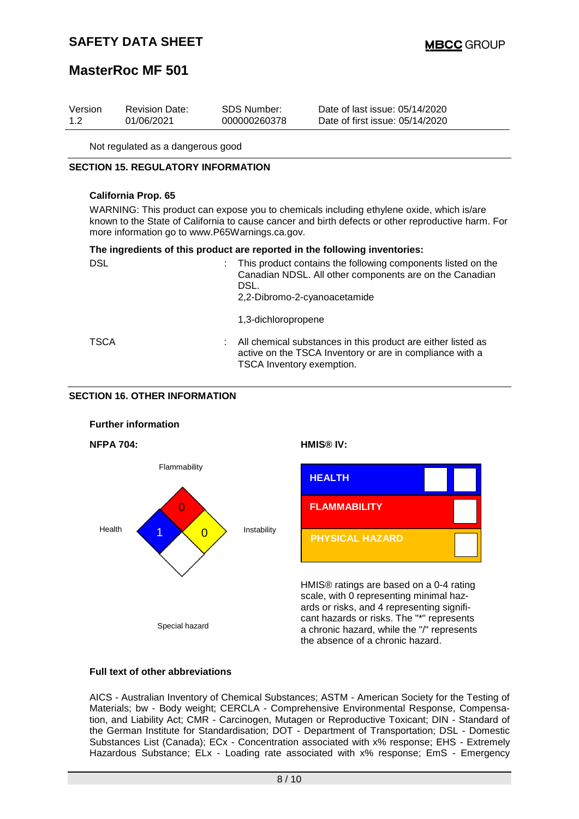# **SAFETY DATA SHEET**

# **MasterRoc MF 501**

| Version | <b>Revision Date:</b> | SDS Number:  | Date of last issue: 05/14/2020  |
|---------|-----------------------|--------------|---------------------------------|
| 1.2     | 01/06/2021            | 000000260378 | Date of first issue: 05/14/2020 |

Not regulated as a dangerous good

#### **SECTION 15. REGULATORY INFORMATION**

#### **California Prop. 65**

WARNING: This product can expose you to chemicals including ethylene oxide, which is/are known to the State of California to cause cancer and birth defects or other reproductive harm. For more information go to www.P65Warnings.ca.gov.

#### **The ingredients of this product are reported in the following inventories:**

| <b>DSL</b>  | This product contains the following components listed on the<br>Canadian NDSL. All other components are on the Canadian<br>DSL.<br>2,2-Dibromo-2-cyanoacetamide |
|-------------|-----------------------------------------------------------------------------------------------------------------------------------------------------------------|
|             | 1,3-dichloropropene                                                                                                                                             |
| <b>TSCA</b> | All chemical substances in this product are either listed as<br>active on the TSCA Inventory or are in compliance with a<br>TSCA Inventory exemption.           |

## **SECTION 16. OTHER INFORMATION**



#### **Full text of other abbreviations**

AICS - Australian Inventory of Chemical Substances; ASTM - American Society for the Testing of Materials; bw - Body weight; CERCLA - Comprehensive Environmental Response, Compensation, and Liability Act; CMR - Carcinogen, Mutagen or Reproductive Toxicant; DIN - Standard of the German Institute for Standardisation; DOT - Department of Transportation; DSL - Domestic Substances List (Canada); ECx - Concentration associated with x% response; EHS - Extremely Hazardous Substance; ELx - Loading rate associated with x% response; EmS - Emergency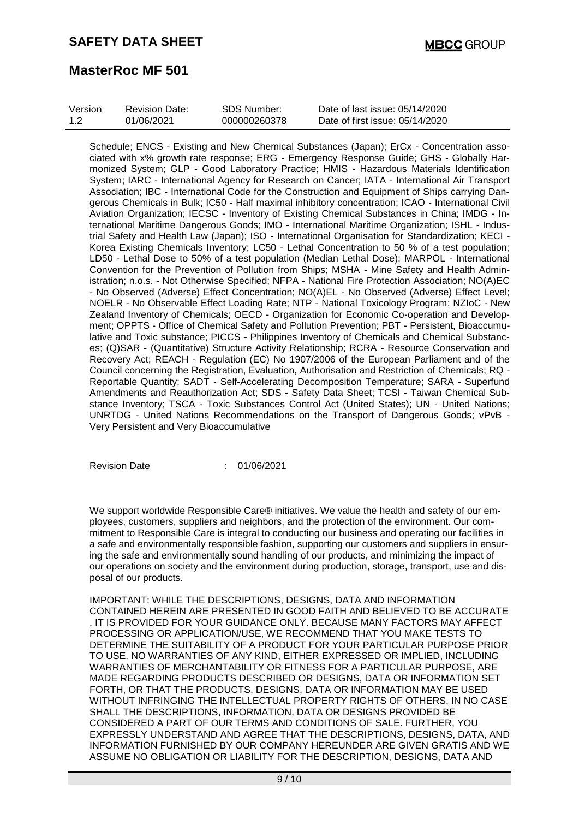| Version | <b>Revision Date:</b> | SDS Number:  | Date of last issue: 05/14/2020  |
|---------|-----------------------|--------------|---------------------------------|
| 1.2     | 01/06/2021            | 000000260378 | Date of first issue: 05/14/2020 |

Schedule; ENCS - Existing and New Chemical Substances (Japan); ErCx - Concentration associated with x% growth rate response; ERG - Emergency Response Guide; GHS - Globally Harmonized System; GLP - Good Laboratory Practice; HMIS - Hazardous Materials Identification System; IARC - International Agency for Research on Cancer; IATA - International Air Transport Association; IBC - International Code for the Construction and Equipment of Ships carrying Dangerous Chemicals in Bulk; IC50 - Half maximal inhibitory concentration; ICAO - International Civil Aviation Organization; IECSC - Inventory of Existing Chemical Substances in China; IMDG - International Maritime Dangerous Goods; IMO - International Maritime Organization; ISHL - Industrial Safety and Health Law (Japan); ISO - International Organisation for Standardization; KECI - Korea Existing Chemicals Inventory; LC50 - Lethal Concentration to 50 % of a test population; LD50 - Lethal Dose to 50% of a test population (Median Lethal Dose); MARPOL - International Convention for the Prevention of Pollution from Ships; MSHA - Mine Safety and Health Administration; n.o.s. - Not Otherwise Specified; NFPA - National Fire Protection Association; NO(A)EC - No Observed (Adverse) Effect Concentration; NO(A)EL - No Observed (Adverse) Effect Level; NOELR - No Observable Effect Loading Rate; NTP - National Toxicology Program; NZIoC - New Zealand Inventory of Chemicals; OECD - Organization for Economic Co-operation and Development; OPPTS - Office of Chemical Safety and Pollution Prevention; PBT - Persistent, Bioaccumulative and Toxic substance; PICCS - Philippines Inventory of Chemicals and Chemical Substances; (Q)SAR - (Quantitative) Structure Activity Relationship; RCRA - Resource Conservation and Recovery Act; REACH - Regulation (EC) No 1907/2006 of the European Parliament and of the Council concerning the Registration, Evaluation, Authorisation and Restriction of Chemicals; RQ - Reportable Quantity; SADT - Self-Accelerating Decomposition Temperature; SARA - Superfund Amendments and Reauthorization Act; SDS - Safety Data Sheet; TCSI - Taiwan Chemical Substance Inventory; TSCA - Toxic Substances Control Act (United States); UN - United Nations; UNRTDG - United Nations Recommendations on the Transport of Dangerous Goods; vPvB - Very Persistent and Very Bioaccumulative

Revision Date : 01/06/2021

We support worldwide Responsible Care® initiatives. We value the health and safety of our employees, customers, suppliers and neighbors, and the protection of the environment. Our commitment to Responsible Care is integral to conducting our business and operating our facilities in a safe and environmentally responsible fashion, supporting our customers and suppliers in ensuring the safe and environmentally sound handling of our products, and minimizing the impact of our operations on society and the environment during production, storage, transport, use and disposal of our products.

IMPORTANT: WHILE THE DESCRIPTIONS, DESIGNS, DATA AND INFORMATION CONTAINED HEREIN ARE PRESENTED IN GOOD FAITH AND BELIEVED TO BE ACCURATE , IT IS PROVIDED FOR YOUR GUIDANCE ONLY. BECAUSE MANY FACTORS MAY AFFECT PROCESSING OR APPLICATION/USE, WE RECOMMEND THAT YOU MAKE TESTS TO DETERMINE THE SUITABILITY OF A PRODUCT FOR YOUR PARTICULAR PURPOSE PRIOR TO USE. NO WARRANTIES OF ANY KIND, EITHER EXPRESSED OR IMPLIED, INCLUDING WARRANTIES OF MERCHANTABILITY OR FITNESS FOR A PARTICULAR PURPOSE, ARE MADE REGARDING PRODUCTS DESCRIBED OR DESIGNS, DATA OR INFORMATION SET FORTH, OR THAT THE PRODUCTS, DESIGNS, DATA OR INFORMATION MAY BE USED WITHOUT INFRINGING THE INTELLECTUAL PROPERTY RIGHTS OF OTHERS. IN NO CASE SHALL THE DESCRIPTIONS, INFORMATION, DATA OR DESIGNS PROVIDED BE CONSIDERED A PART OF OUR TERMS AND CONDITIONS OF SALE. FURTHER, YOU EXPRESSLY UNDERSTAND AND AGREE THAT THE DESCRIPTIONS, DESIGNS, DATA, AND INFORMATION FURNISHED BY OUR COMPANY HEREUNDER ARE GIVEN GRATIS AND WE ASSUME NO OBLIGATION OR LIABILITY FOR THE DESCRIPTION, DESIGNS, DATA AND